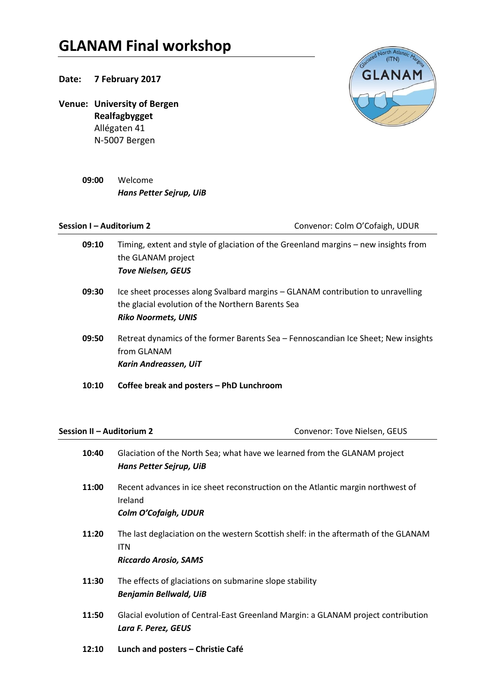## **GLANAM Final workshop**

## **Date: 7 February 2017**

**Venue: University of Bergen Realfagbygget** Allégaten 41 N-5007 Bergen

> **09:00** Welcome *Hans Petter Sejrup, UiB*

**Session I – Auditorium 2** Convenor: Colm O'Cofaigh, UDUR

**09:10** Timing, extent and style of glaciation of the Greenland margins – new insights from the GLANAM project *Tove Nielsen, GEUS* **09:30** Ice sheet processes along Svalbard margins – GLANAM contribution to unravelling the glacial evolution of the Northern Barents Sea *Riko Noormets, UNIS* **09:50** Retreat dynamics of the former Barents Sea – Fennoscandian Ice Sheet; New insights from GLANAM *Karin Andreassen, UiT* **10:10 Coffee break and posters – PhD Lunchroom**

**Session II – Auditorium 2** Convenor: Tove Nielsen, GEUS

| 10:40 | Glaciation of the North Sea; what have we learned from the GLANAM project           |
|-------|-------------------------------------------------------------------------------------|
|       | Hans Petter Sejrup, UiB                                                             |
| 11:00 | Recent advances in ice sheet reconstruction on the Atlantic margin northwest of     |
|       | Ireland                                                                             |
|       | <b>Colm O'Cofaigh, UDUR</b>                                                         |
| 11:20 | The last deglaciation on the western Scottish shelf: in the aftermath of the GLANAM |
|       | ITN                                                                                 |
|       | <b>Riccardo Arosio, SAMS</b>                                                        |
| 11:30 | The effects of glaciations on submarine slope stability                             |
|       | <b>Benjamin Bellwald, UiB</b>                                                       |
| 11:50 | Glacial evolution of Central-East Greenland Margin: a GLANAM project contribution   |
|       | Lara F. Perez, GEUS                                                                 |
| 12:10 | Lunch and posters - Christie Café                                                   |